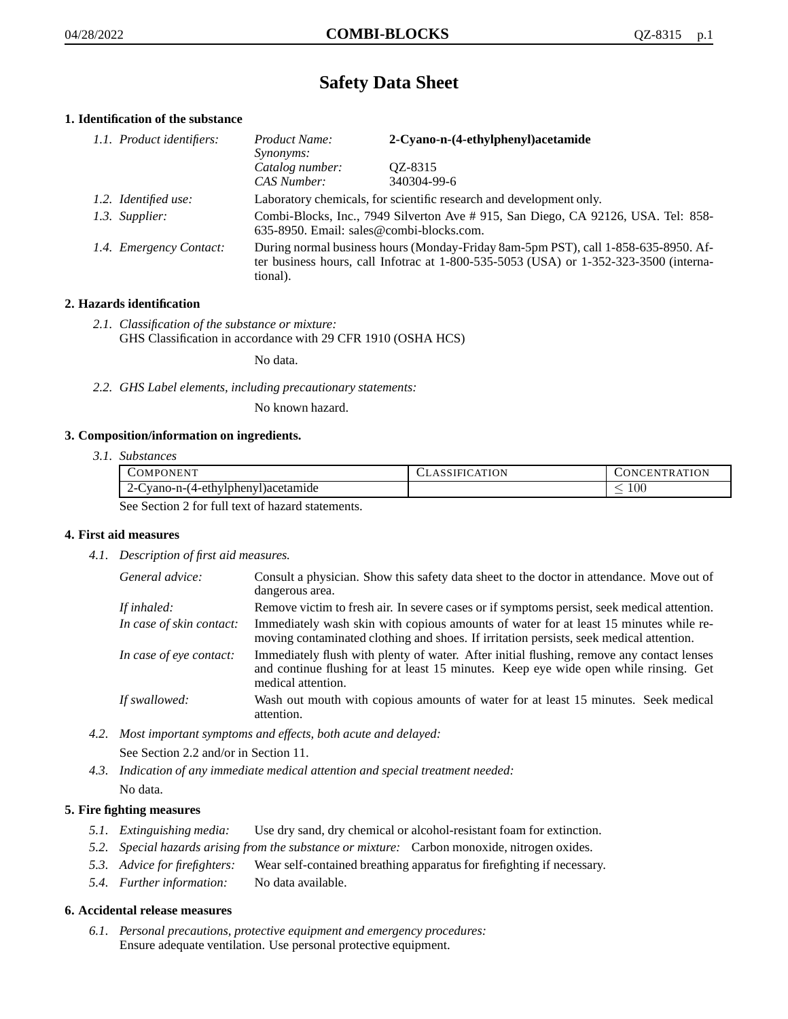# **Safety Data Sheet**

# **1. Identification of the substance**

| 1.1. Product identifiers: | Product Name:<br><i>Synonyms:</i>                                                                                                                                                           | 2-Cyano-n-(4-ethylphenyl)acetamide |
|---------------------------|---------------------------------------------------------------------------------------------------------------------------------------------------------------------------------------------|------------------------------------|
|                           | Catalog number:<br>CAS Number:                                                                                                                                                              | QZ-8315<br>340304-99-6             |
| 1.2. Identified use:      | Laboratory chemicals, for scientific research and development only.                                                                                                                         |                                    |
| 1.3. Supplier:            | Combi-Blocks, Inc., 7949 Silverton Ave #915, San Diego, CA 92126, USA. Tel: 858-<br>635-8950. Email: sales@combi-blocks.com.                                                                |                                    |
| 1.4. Emergency Contact:   | During normal business hours (Monday-Friday 8am-5pm PST), call 1-858-635-8950. Af-<br>ter business hours, call Infotrac at $1-800-535-5053$ (USA) or $1-352-323-3500$ (interna-<br>tional). |                                    |

# **2. Hazards identification**

*2.1. Classification of the substance or mixture:* GHS Classification in accordance with 29 CFR 1910 (OSHA HCS)

No data.

*2.2. GHS Label elements, including precautionary statements:*

No known hazard.

## **3. Composition/information on ingredients.**

*3.1. Substances*

| COMPONENT                                      | CLASSIFICATION | CONCENTRATION. |
|------------------------------------------------|----------------|----------------|
| 2-Cyano-n-(4-ethylphenyl) acetamide            |                | 100            |
| See Section 2 for full toxi of here determined |                |                |

See Section 2 for full text of hazard statements.

## **4. First aid measures**

*4.1. Description of first aid measures.*

| General advice:          | Consult a physician. Show this safety data sheet to the doctor in attendance. Move out of<br>dangerous area.                                                                                            |
|--------------------------|---------------------------------------------------------------------------------------------------------------------------------------------------------------------------------------------------------|
| If inhaled:              | Remove victim to fresh air. In severe cases or if symptoms persist, seek medical attention.                                                                                                             |
| In case of skin contact: | Immediately wash skin with copious amounts of water for at least 15 minutes while re-<br>moving contaminated clothing and shoes. If irritation persists, seek medical attention.                        |
| In case of eye contact:  | Immediately flush with plenty of water. After initial flushing, remove any contact lenses<br>and continue flushing for at least 15 minutes. Keep eye wide open while rinsing. Get<br>medical attention. |
| If swallowed:            | Wash out mouth with copious amounts of water for at least 15 minutes. Seek medical<br>attention.                                                                                                        |

*4.2. Most important symptoms and effects, both acute and delayed:*

See Section 2.2 and/or in Section 11.

*4.3. Indication of any immediate medical attention and special treatment needed:* No data.

# **5. Fire fighting measures**

- *5.1. Extinguishing media:* Use dry sand, dry chemical or alcohol-resistant foam for extinction.
- *5.2. Special hazards arising from the substance or mixture:* Carbon monoxide, nitrogen oxides.
- *5.3. Advice for firefighters:* Wear self-contained breathing apparatus for firefighting if necessary.
- *5.4. Further information:* No data available.

## **6. Accidental release measures**

*6.1. Personal precautions, protective equipment and emergency procedures:* Ensure adequate ventilation. Use personal protective equipment.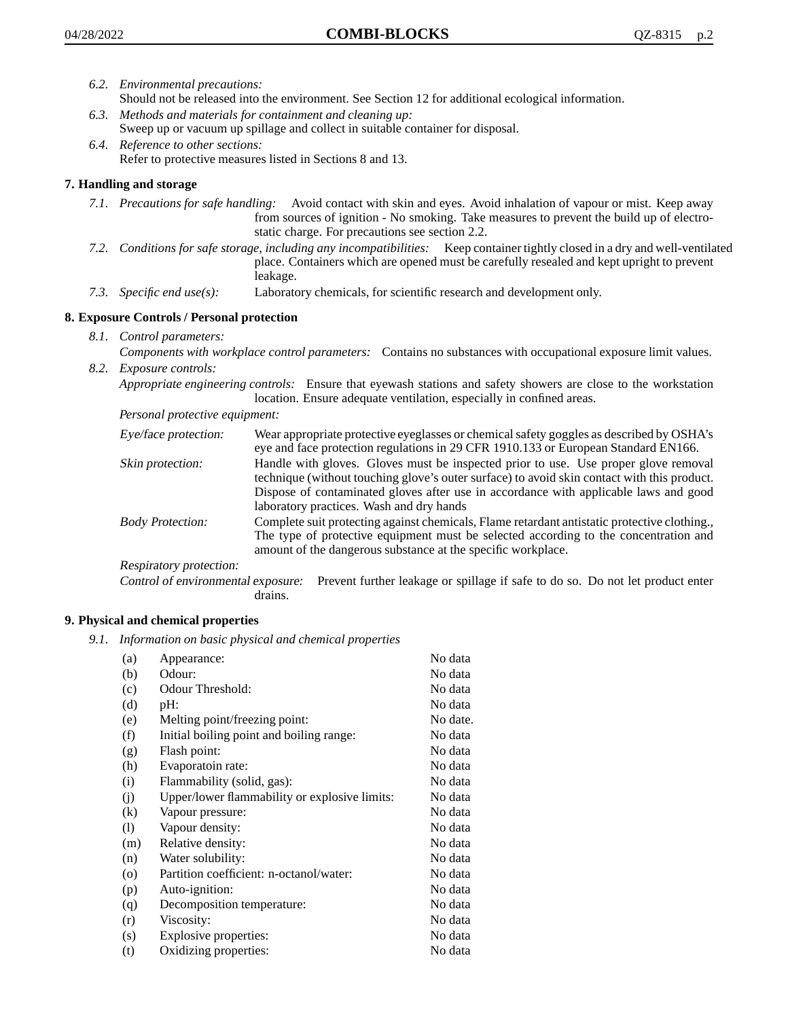- *6.2. Environmental precautions:* Should not be released into the environment. See Section 12 for additional ecological information.
- *6.3. Methods and materials for containment and cleaning up:* Sweep up or vacuum up spillage and collect in suitable container for disposal.
- *6.4. Reference to other sections:* Refer to protective measures listed in Sections 8 and 13.

# **7. Handling and storage**

- *7.1. Precautions for safe handling:* Avoid contact with skin and eyes. Avoid inhalation of vapour or mist. Keep away from sources of ignition - No smoking. Take measures to prevent the build up of electrostatic charge. For precautions see section 2.2.
- *7.2. Conditions for safe storage, including any incompatibilities:* Keep container tightly closed in a dry and well-ventilated place. Containers which are opened must be carefully resealed and kept upright to prevent leakage.
- *7.3. Specific end use(s):* Laboratory chemicals, for scientific research and development only.

## **8. Exposure Controls / Personal protection**

- *8.1. Control parameters:*
- *Components with workplace control parameters:* Contains no substances with occupational exposure limit values. *8.2. Exposure controls:*

*Appropriate engineering controls:* Ensure that eyewash stations and safety showers are close to the workstation location. Ensure adequate ventilation, especially in confined areas.

*Personal protective equipment:*

| Eye/face protection:    | Wear appropriate protective eyeglasses or chemical safety goggles as described by OSHA's<br>eye and face protection regulations in 29 CFR 1910.133 or European Standard EN166.                                                                                                                                         |
|-------------------------|------------------------------------------------------------------------------------------------------------------------------------------------------------------------------------------------------------------------------------------------------------------------------------------------------------------------|
| Skin protection:        | Handle with gloves. Gloves must be inspected prior to use. Use proper glove removal<br>technique (without touching glove's outer surface) to avoid skin contact with this product.<br>Dispose of contaminated gloves after use in accordance with applicable laws and good<br>laboratory practices. Wash and dry hands |
| <b>Body Protection:</b> | Complete suit protecting against chemicals, Flame retardant antistatic protective clothing.,<br>The type of protective equipment must be selected according to the concentration and<br>amount of the dangerous substance at the specific workplace.                                                                   |
| Respiratory protection: |                                                                                                                                                                                                                                                                                                                        |

Control of environmental exposure: Prevent further leakage or spillage if safe to do so. Do not let product enter drains.

## **9. Physical and chemical properties**

*9.1. Information on basic physical and chemical properties*

| (a)      | Appearance:                                   | No data  |
|----------|-----------------------------------------------|----------|
| (b)      | Odour:                                        | No data  |
| (c)      | Odour Threshold:                              | No data  |
| (d)      | pH:                                           | No data  |
| (e)      | Melting point/freezing point:                 | No date. |
| (f)      | Initial boiling point and boiling range:      | No data  |
| (g)      | Flash point:                                  | No data  |
| (h)      | Evaporatoin rate:                             | No data  |
| (i)      | Flammability (solid, gas):                    | No data  |
| (j)      | Upper/lower flammability or explosive limits: | No data  |
| $\rm(k)$ | Vapour pressure:                              | No data  |
| (1)      | Vapour density:                               | No data  |
| (m)      | Relative density:                             | No data  |
| (n)      | Water solubility:                             | No data  |
| $\circ$  | Partition coefficient: n-octanol/water:       | No data  |
| (p)      | Auto-ignition:                                | No data  |
| (q)      | Decomposition temperature:                    | No data  |
| (r)      | Viscosity:                                    | No data  |
| (s)      | Explosive properties:                         | No data  |
| (t)      | Oxidizing properties:                         | No data  |